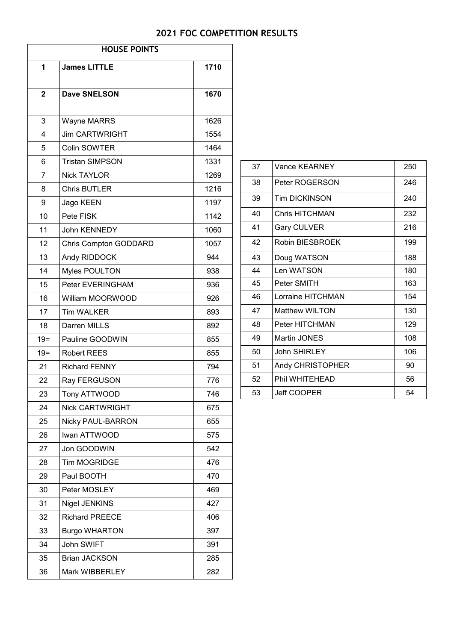# **2021 FOC COMPETITION RESULTS**

| <b>HOUSE POINTS</b> |                          |      |
|---------------------|--------------------------|------|
| 1                   | <b>James LITTLE</b>      | 1710 |
| $\overline{2}$      | <b>Dave SNELSON</b>      | 1670 |
| 3                   | Wayne MARRS              | 1626 |
| 4                   | <b>Jim CARTWRIGHT</b>    | 1554 |
| 5                   | Colin SOWTER             | 1464 |
| 6                   | <b>Tristan SIMPSON</b>   | 1331 |
| $\overline{7}$      | <b>Nick TAYLOR</b>       | 1269 |
| 8                   | <b>Chris BUTLER</b>      | 1216 |
| 9                   | Jago KEEN                | 1197 |
| 10                  | Pete FISK                | 1142 |
| 11                  | John KENNEDY             | 1060 |
| 12                  | Chris Compton GODDARD    | 1057 |
| 13                  | Andy RIDDOCK             | 944  |
| 14                  | Myles POULTON            | 938  |
| 15                  | Peter EVERINGHAM         | 936  |
| 16                  | William MOORWOOD         | 926  |
| 17                  | <b>Tim WALKER</b>        | 893  |
| 18                  | Darren MILLS             | 892  |
| $19 =$              | Pauline GOODWIN          | 855  |
| $19 =$              | <b>Robert REES</b>       | 855  |
| 21                  | <b>Richard FENNY</b>     | 794  |
| 22                  | Ray FERGUSON             | 776  |
| 23                  | Tony ATTWOOD             | 746  |
| 24                  | <b>Nick CARTWRIGHT</b>   | 675  |
| 25                  | <b>Nicky PAUL-BARRON</b> | 655  |
| 26                  | Iwan ATTWOOD             | 575  |
| 27                  | Jon GOODWIN              | 542  |
| 28                  | <b>Tim MOGRIDGE</b>      | 476  |
| 29                  | Paul BOOTH               | 470  |
| 30                  | Peter MOSLEY             | 469  |
| 31                  | <b>Nigel JENKINS</b>     | 427  |
| 32                  | <b>Richard PREECE</b>    | 406  |
| 33                  | <b>Burgo WHARTON</b>     | 397  |
| 34                  | John SWIFT               | 391  |
| 35                  | <b>Brian JACKSON</b>     | 285  |
| 36                  | Mark WIBBERLEY           | 282  |

| 37 | Vance KEARNEY         | 250 |
|----|-----------------------|-----|
| 38 | Peter ROGERSON        | 246 |
| 39 | <b>Tim DICKINSON</b>  | 240 |
| 40 | Chris HITCHMAN        | 232 |
| 41 | <b>Gary CULVER</b>    | 216 |
| 42 | Robin BIESBROEK       | 199 |
| 43 | Doug WATSON           | 188 |
| 44 | Len WATSON            | 180 |
| 45 | Peter SMITH           | 163 |
| 46 | Lorraine HITCHMAN     | 154 |
| 47 | Matthew WILTON        | 130 |
| 48 | <b>Peter HITCHMAN</b> | 129 |
| 49 | Martin JONES          | 108 |
| 50 | John SHIRLEY          | 106 |
| 51 | Andy CHRISTOPHER      | 90  |
| 52 | Phil WHITEHEAD        | 56  |
| 53 | <b>Jeff COOPER</b>    | 54  |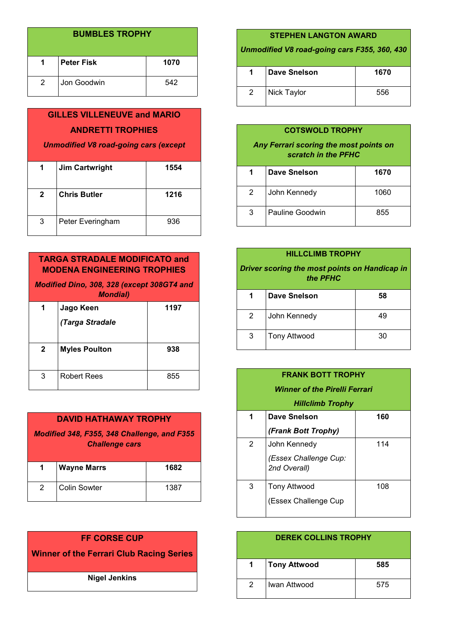| <b>BUMBLES TROPHY</b> |             |      |
|-----------------------|-------------|------|
| 1.                    | ∣Peter Fisk | 1070 |
| 2                     | Jon Goodwin | 542  |

# **GILLES VILLENEUVE and MARIO ANDRETTI TROPHIES**

*Unmodified V8 road-going cars (except* 

| 1            | <b>Jim Cartwright</b> | 1554 |
|--------------|-----------------------|------|
| $\mathbf{2}$ | <b>Chris Butler</b>   | 1216 |
| 3            | Peter Everingham      | 936  |

## **TARGA STRADALE MODIFICATO and MODENA ENGINEERING TROPHIES**

*Modified Dino, 308, 328 (except 308GT4 and Mondial)*

| 1            | Jago Keen            | 1197 |
|--------------|----------------------|------|
|              | (Targa Stradale      |      |
| $\mathbf{2}$ | <b>Myles Poulton</b> | 938  |
| 3            | <b>Robert Rees</b>   | 855  |

| <b>DAVID HATHAWAY TROPHY</b>                                         |                     |      |
|----------------------------------------------------------------------|---------------------|------|
| Modified 348, F355, 348 Challenge, and F355<br><b>Challenge cars</b> |                     |      |
| 1.                                                                   | <b>Wayne Marrs</b>  | 1682 |
| 2                                                                    | <b>Colin Sowter</b> | 1387 |

## **FF CORSE CUP**

**Winner of the Ferrari Club Racing Series**

**Nigel Jenkins**

#### **STEPHEN LANGTON AWARD**

*Unmodified V8 road-going cars F355, 360, 430* 

| 1. | <b>Dave Snelson</b> | 1670 |
|----|---------------------|------|
| 2  | Nick Taylor         | 556  |

#### **COTSWOLD TROPHY**

*Any Ferrari scoring the most points on scratch in the PFHC* 

| 1 | <b>Dave Snelson</b> | 1670 |
|---|---------------------|------|
| 2 | John Kennedy        | 1060 |
| 3 | Pauline Goodwin     | 855  |

#### **HILLCLIMB TROPHY**

*Driver scoring the most points on Handicap in the PFHC*

|   | <b>Dave Snelson</b> | 58 |
|---|---------------------|----|
| 2 | John Kennedy        | 49 |
| 3 | <b>Tony Attwood</b> | 30 |

| <b>FRANK BOTT TROPHY</b>      |                                       |     |
|-------------------------------|---------------------------------------|-----|
| Winner of the Pirelli Ferrari |                                       |     |
| <b>Hillclimb Trophy</b>       |                                       |     |
| 1                             | Dave Snelson                          | 160 |
|                               | (Frank Bott Trophy)                   |     |
| 2                             | John Kennedy                          | 114 |
|                               | (Essex Challenge Cup:<br>2nd Overall) |     |
| 3                             | <b>Tony Attwood</b>                   | 108 |
|                               | (Essex Challenge Cup                  |     |

| <b>DEREK COLLINS TROPHY</b> |                     |     |
|-----------------------------|---------------------|-----|
| 1                           | <b>Tony Attwood</b> | 585 |
| $\mathcal{P}$               | Iwan Attwood        | 575 |